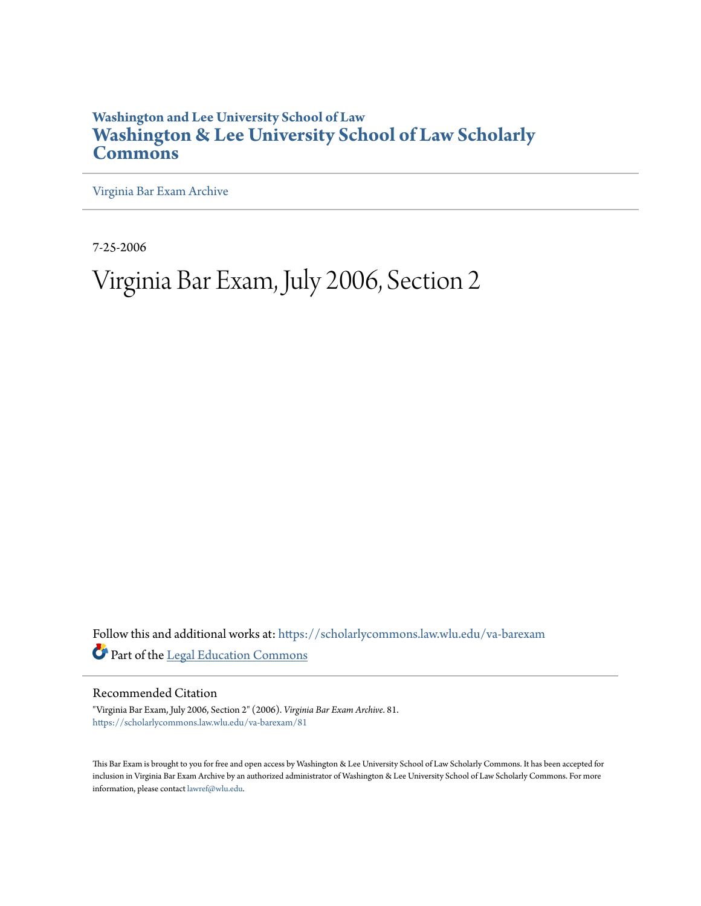# **Washington and Lee University School of Law [Washington & Lee University School of Law Scholarly](https://scholarlycommons.law.wlu.edu?utm_source=scholarlycommons.law.wlu.edu%2Fva-barexam%2F81&utm_medium=PDF&utm_campaign=PDFCoverPages) [Commons](https://scholarlycommons.law.wlu.edu?utm_source=scholarlycommons.law.wlu.edu%2Fva-barexam%2F81&utm_medium=PDF&utm_campaign=PDFCoverPages)**

[Virginia Bar Exam Archive](https://scholarlycommons.law.wlu.edu/va-barexam?utm_source=scholarlycommons.law.wlu.edu%2Fva-barexam%2F81&utm_medium=PDF&utm_campaign=PDFCoverPages)

7-25-2006

# Virginia Bar Exam, July 2006, Section 2

Follow this and additional works at: [https://scholarlycommons.law.wlu.edu/va-barexam](https://scholarlycommons.law.wlu.edu/va-barexam?utm_source=scholarlycommons.law.wlu.edu%2Fva-barexam%2F81&utm_medium=PDF&utm_campaign=PDFCoverPages) Part of the [Legal Education Commons](http://network.bepress.com/hgg/discipline/857?utm_source=scholarlycommons.law.wlu.edu%2Fva-barexam%2F81&utm_medium=PDF&utm_campaign=PDFCoverPages)

Recommended Citation

"Virginia Bar Exam, July 2006, Section 2" (2006). *Virginia Bar Exam Archive*. 81. [https://scholarlycommons.law.wlu.edu/va-barexam/81](https://scholarlycommons.law.wlu.edu/va-barexam/81?utm_source=scholarlycommons.law.wlu.edu%2Fva-barexam%2F81&utm_medium=PDF&utm_campaign=PDFCoverPages)

This Bar Exam is brought to you for free and open access by Washington & Lee University School of Law Scholarly Commons. It has been accepted for inclusion in Virginia Bar Exam Archive by an authorized administrator of Washington & Lee University School of Law Scholarly Commons. For more information, please contact [lawref@wlu.edu](mailto:lawref@wlu.edu).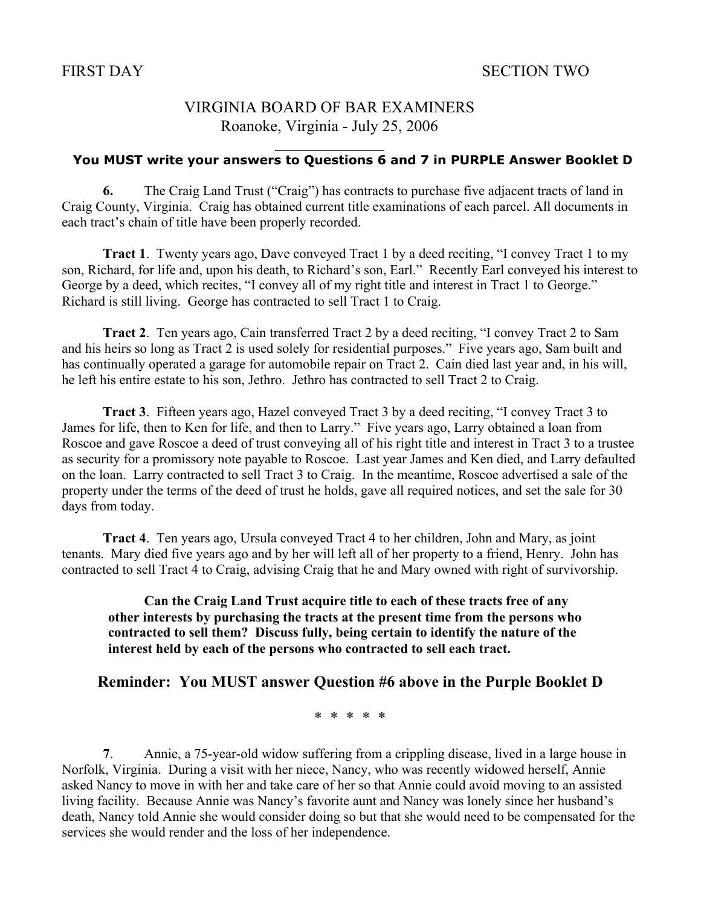# VIRGINIA BOARD OF BAR EXAMINERS Roanoke, Virginia - July 25, 2006

 $\overline{a}$ 

## **You MUST write your answers to Questions 6 and 7 in PURPLE Answer Booklet D**

6. The Craig Land Trust ("Craig") has contracts to purchase five adjacent tracts of land in Craig County, Virginia. Craig has obtained current title examinations of each parcel. All documents in each tract's chain of title have been properly recorded.

Tract 1. Twenty years ago, Dave conveyed Tract 1 by a deed reciting, "I convey Tract 1 to my son, Richard, for life and, upon his death, to Richard's son, Earl." Recently Earl conveyed his interest to George by a deed, which recites, "I convey all of my right title and interest in Tract 1 to George." Richard is still living. George has contracted to sell Tract 1 to Craig.

Tract 2. Ten years ago, Cain transferred Tract 2 by a deed reciting, "I convey Tract 2 to Sam and his heirs so long as Tract 2 is used solely for residential purposes." Five years ago, Sam built and has continually operated a garage for automobile repair on Tract 2. Cain died last year and, in his will, he left his entire estate to his son, Jethro. Jethro has contracted to sell Tract 2 to Craig.

Tract 3. Fifteen years ago, Hazel conveyed Tract 3 by a deed reciting, "I convey Tract 3 to James for life, then to Ken for life, and then to Larry." Five years ago, Larry obtained a loan from Roscoe and gave Roscoe a deed of trust conveying all of his right title and interest in Tract 3 to a trustee as security for a promissory note payable to Roscoe. Last year James and Ken died, and Larry defaulted on the loan. Larry contracted to sell Tract 3 to Craig. In the meantime, Roscoe advertised a sale of the property under the terms of the deed of trust he holds, gave all required notices, and set the sale for 30 days from today.

Tract 4. Ten years ago, Ursula conveyed Tract 4 to her children, John and Mary, as joint tenants. Mary died five years ago and by her will left all of her property to a friend, Henry. John has contracted to sell Tract 4 to Craig, advising Craig that he and Mary owned with right of survivorship.

Can the Craig Land Trust acquire title to each of these tracts free of any other interests by purchasing the tracts at the present time from the persons who contracted to sell them? Discuss fully, being certain to identify the nature of the interest held by each of the persons who contracted to sell each tract.

## Reminder: You MUST answer Question #6 above in the Purple Booklet D

\* \* \* \* \*

7. Annie, a 75-year-old widow suffering from a crippling disease, lived in a large house in Norfolk, Virginia. During a visit with her niece, Nancy, who was recently widowed herself, Annie asked Nancy to move in with her and take care of her so that Annie could avoid moving to an assisted living facility. Because Annie was Nancy's favorite aunt and Nancy was lonely since her husband's death, Nancy told Annie she would consider doing so but that she would need to be compensated for the services she would render and the loss of her independence.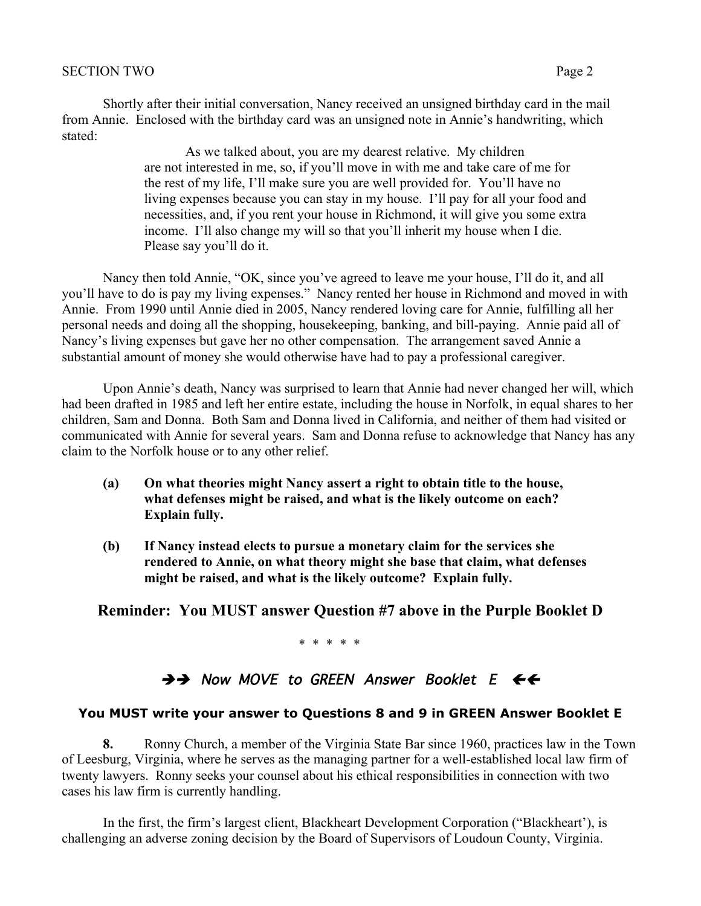#### SECTION TWO Page 2

Shortly after their initial conversation, Nancy received an unsigned birthday card in the mail from Annie. Enclosed with the birthday card was an unsigned note in Annie's handwriting, which stated:

> As we talked about, you are my dearest relative. My children are not interested in me, so, if you'll move in with me and take care of me for the rest of my life, I'll make sure you are well provided for. You'll have no living expenses because you can stay in my house. I'll pay for all your food and necessities, and, if you rent your house in Richmond, it will give you some extra income. I'll also change my will so that you'll inherit my house when I die. Please say you'll do it.

Nancy then told Annie, "OK, since you've agreed to leave me your house, I'll do it, and all you'll have to do is pay my living expenses." Nancy rented her house in Richmond and moved in with Annie. From 1990 until Annie died in 2005, Nancy rendered loving care for Annie, fulfilling all her personal needs and doing all the shopping, housekeeping, banking, and bill-paying. Annie paid all of Nancy's living expenses but gave her no other compensation. The arrangement saved Annie a substantial amount of money she would otherwise have had to pay a professional caregiver.

Upon Annie's death, Nancy was surprised to learn that Annie had never changed her will, which had been drafted in 1985 and left her entire estate, including the house in Norfolk, in equal shares to her children, Sam and Donna. Both Sam and Donna lived in California, and neither of them had visited or communicated with Annie for several years. Sam and Donna refuse to acknowledge that Nancy has any claim to the Norfolk house or to any other relief.

- (a) On what theories might Nancy assert a right to obtain title to the house, what defenses might be raised, and what is the likely outcome on each? Explain fully.
- (b) If Nancy instead elects to pursue a monetary claim for the services she rendered to Annie, on what theory might she base that claim, what defenses might be raised, and what is the likely outcome? Explain fully.

#### Reminder: You MUST answer Question #7 above in the Purple Booklet D

\* \* \* \* \*

## $\rightarrow$  Now MOVE to GREEN Answer Booklet E  $\leftarrow$

#### **You MUST write your answer to Questions 8 and 9 in GREEN Answer Booklet E**

8. Ronny Church, a member of the Virginia State Bar since 1960, practices law in the Town of Leesburg, Virginia, where he serves as the managing partner for a well-established local law firm of twenty lawyers. Ronny seeks your counsel about his ethical responsibilities in connection with two cases his law firm is currently handling.

In the first, the firm's largest client, Blackheart Development Corporation ("Blackheart'), is challenging an adverse zoning decision by the Board of Supervisors of Loudoun County, Virginia.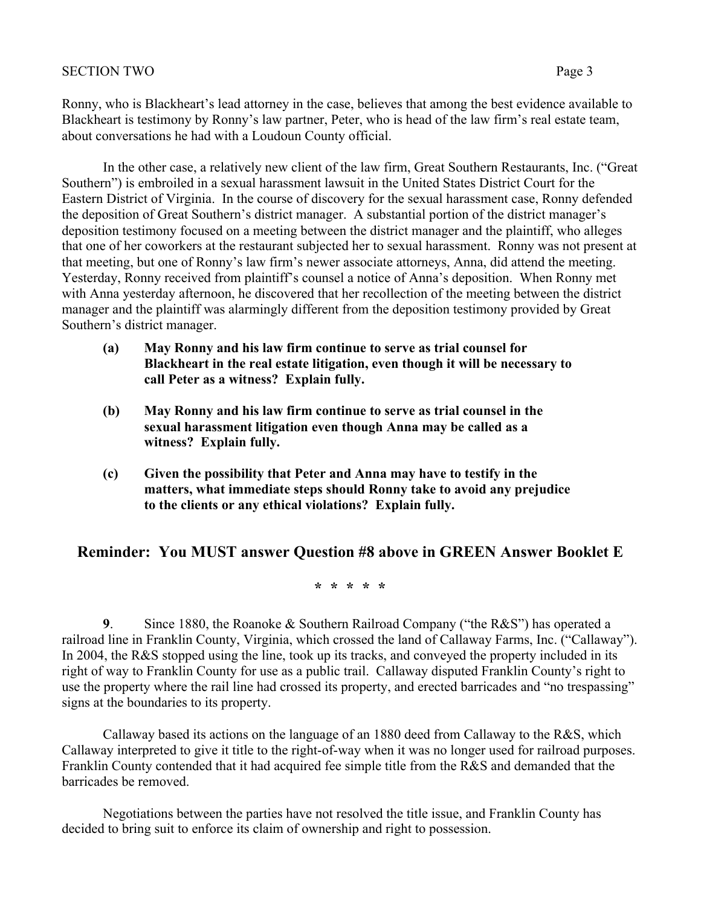Ronny, who is Blackheart's lead attorney in the case, believes that among the best evidence available to Blackheart is testimony by Ronny's law partner, Peter, who is head of the law firm's real estate team, about conversations he had with a Loudoun County official.

In the other case, a relatively new client of the law firm, Great Southern Restaurants, Inc. ("Great Southern") is embroiled in a sexual harassment lawsuit in the United States District Court for the Eastern District of Virginia. In the course of discovery for the sexual harassment case, Ronny defended the deposition of Great Southern's district manager. A substantial portion of the district manager's deposition testimony focused on a meeting between the district manager and the plaintiff, who alleges that one of her coworkers at the restaurant subjected her to sexual harassment. Ronny was not present at that meeting, but one of Ronny's law firm's newer associate attorneys, Anna, did attend the meeting. Yesterday, Ronny received from plaintiff's counsel a notice of Anna's deposition. When Ronny met with Anna yesterday afternoon, he discovered that her recollection of the meeting between the district manager and the plaintiff was alarmingly different from the deposition testimony provided by Great Southern's district manager.

- (a) May Ronny and his law firm continue to serve as trial counsel for Blackheart in the real estate litigation, even though it will be necessary to call Peter as a witness? Explain fully.
- (b) May Ronny and his law firm continue to serve as trial counsel in the sexual harassment litigation even though Anna may be called as a witness? Explain fully.
- (c) Given the possibility that Peter and Anna may have to testify in the matters, what immediate steps should Ronny take to avoid any prejudice to the clients or any ethical violations? Explain fully.

## Reminder: You MUST answer Question #8 above in GREEN Answer Booklet E

#### \* \* \* \* \*

9. Since 1880, the Roanoke  $&$  Southern Railroad Company ("the R $&$ S") has operated a railroad line in Franklin County, Virginia, which crossed the land of Callaway Farms, Inc. ("Callaway"). In 2004, the R&S stopped using the line, took up its tracks, and conveyed the property included in its right of way to Franklin County for use as a public trail. Callaway disputed Franklin County's right to use the property where the rail line had crossed its property, and erected barricades and "no trespassing" signs at the boundaries to its property.

Callaway based its actions on the language of an 1880 deed from Callaway to the R&S, which Callaway interpreted to give it title to the right-of-way when it was no longer used for railroad purposes. Franklin County contended that it had acquired fee simple title from the R&S and demanded that the barricades be removed.

Negotiations between the parties have not resolved the title issue, and Franklin County has decided to bring suit to enforce its claim of ownership and right to possession.